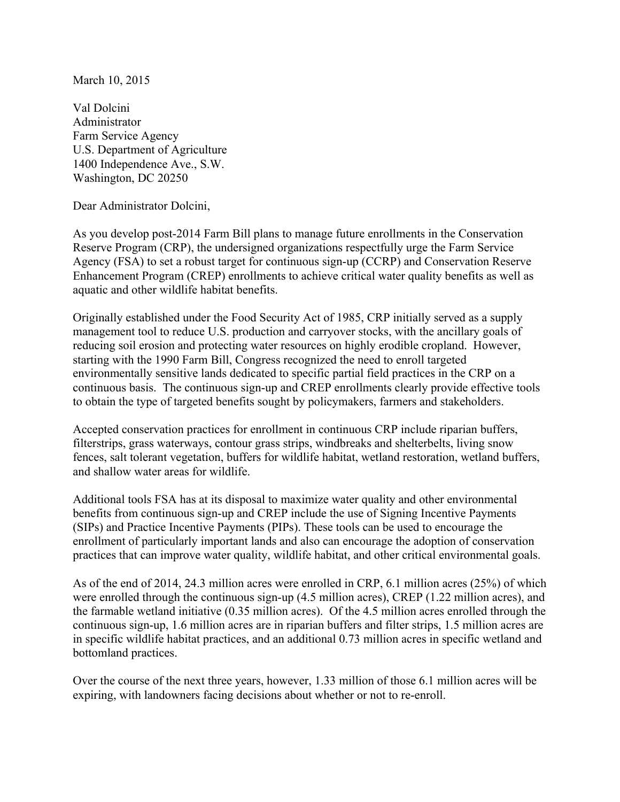March 10, 2015

Val Dolcini Administrator Farm Service Agency U.S. Department of Agriculture 1400 Independence Ave., S.W. Washington, DC 20250

Dear Administrator Dolcini,

As you develop post-2014 Farm Bill plans to manage future enrollments in the Conservation Reserve Program (CRP), the undersigned organizations respectfully urge the Farm Service Agency (FSA) to set a robust target for continuous sign-up (CCRP) and Conservation Reserve Enhancement Program (CREP) enrollments to achieve critical water quality benefits as well as aquatic and other wildlife habitat benefits.

Originally established under the Food Security Act of 1985, CRP initially served as a supply management tool to reduce U.S. production and carryover stocks, with the ancillary goals of reducing soil erosion and protecting water resources on highly erodible cropland. However, starting with the 1990 Farm Bill, Congress recognized the need to enroll targeted environmentally sensitive lands dedicated to specific partial field practices in the CRP on a continuous basis. The continuous sign-up and CREP enrollments clearly provide effective tools to obtain the type of targeted benefits sought by policymakers, farmers and stakeholders.

Accepted conservation practices for enrollment in continuous CRP include riparian buffers, filterstrips, grass waterways, contour grass strips, windbreaks and shelterbelts, living snow fences, salt tolerant vegetation, buffers for wildlife habitat, wetland restoration, wetland buffers, and shallow water areas for wildlife.

Additional tools FSA has at its disposal to maximize water quality and other environmental benefits from continuous sign-up and CREP include the use of Signing Incentive Payments (SIPs) and Practice Incentive Payments (PIPs). These tools can be used to encourage the enrollment of particularly important lands and also can encourage the adoption of conservation practices that can improve water quality, wildlife habitat, and other critical environmental goals.

As of the end of 2014, 24.3 million acres were enrolled in CRP, 6.1 million acres (25%) of which were enrolled through the continuous sign-up (4.5 million acres), CREP (1.22 million acres), and the farmable wetland initiative (0.35 million acres). Of the 4.5 million acres enrolled through the continuous sign-up, 1.6 million acres are in riparian buffers and filter strips, 1.5 million acres are in specific wildlife habitat practices, and an additional 0.73 million acres in specific wetland and bottomland practices.

Over the course of the next three years, however, 1.33 million of those 6.1 million acres will be expiring, with landowners facing decisions about whether or not to re-enroll.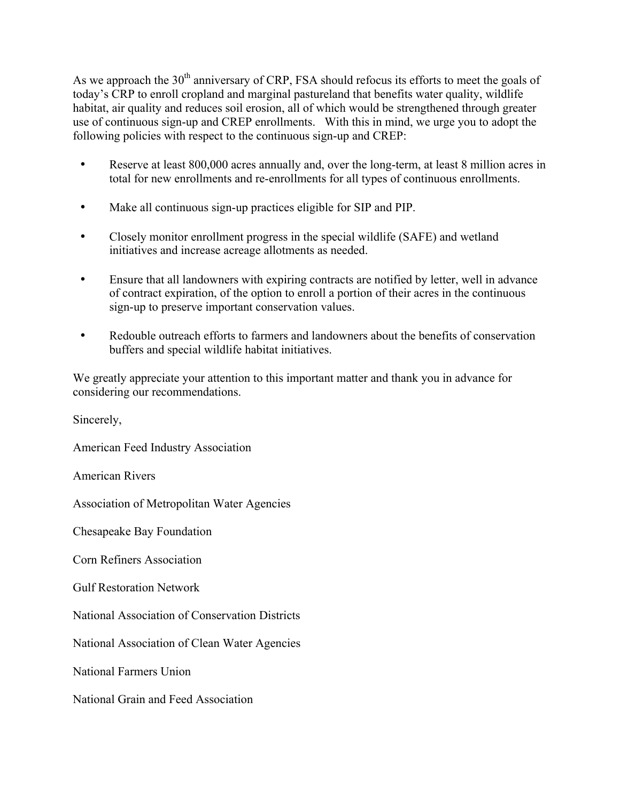As we approach the  $30<sup>th</sup>$  anniversary of CRP, FSA should refocus its efforts to meet the goals of today's CRP to enroll cropland and marginal pastureland that benefits water quality, wildlife habitat, air quality and reduces soil erosion, all of which would be strengthened through greater use of continuous sign-up and CREP enrollments. With this in mind, we urge you to adopt the following policies with respect to the continuous sign-up and CREP:

- Reserve at least 800,000 acres annually and, over the long-term, at least 8 million acres in total for new enrollments and re-enrollments for all types of continuous enrollments.
- Make all continuous sign-up practices eligible for SIP and PIP.
- Closely monitor enrollment progress in the special wildlife (SAFE) and wetland initiatives and increase acreage allotments as needed.
- Ensure that all landowners with expiring contracts are notified by letter, well in advance of contract expiration, of the option to enroll a portion of their acres in the continuous sign-up to preserve important conservation values.
- Redouble outreach efforts to farmers and landowners about the benefits of conservation buffers and special wildlife habitat initiatives.

We greatly appreciate your attention to this important matter and thank you in advance for considering our recommendations.

Sincerely,

American Feed Industry Association

American Rivers

Association of Metropolitan Water Agencies

Chesapeake Bay Foundation

Corn Refiners Association

Gulf Restoration Network

National Association of Conservation Districts

National Association of Clean Water Agencies

National Farmers Union

National Grain and Feed Association